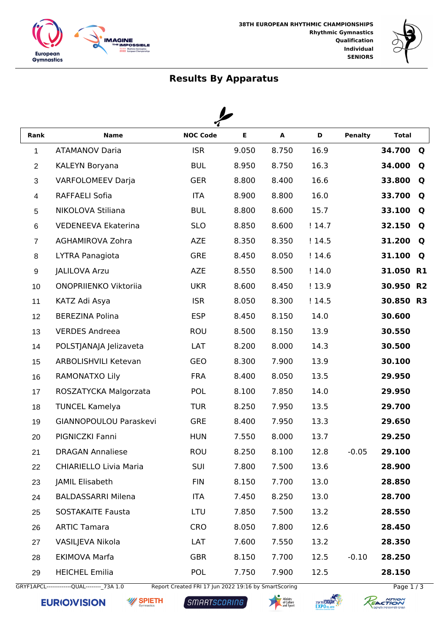



## **Results By Apparatus**

◢

| Rank           | <b>Name</b>                   | <b>NOC Code</b> | E     | $\blacktriangle$ | D     | <b>Penalty</b> | <b>Total</b> |           |
|----------------|-------------------------------|-----------------|-------|------------------|-------|----------------|--------------|-----------|
| $\mathbf{1}$   | <b>ATAMANOV Daria</b>         | <b>ISR</b>      | 9.050 | 8.750            | 16.9  |                | 34.700       | Q         |
| $\overline{2}$ | <b>KALEYN Boryana</b>         | <b>BUL</b>      | 8.950 | 8.750            | 16.3  |                | 34.000       | Q         |
| $\sqrt{3}$     | <b>VARFOLOMEEV Darja</b>      | <b>GER</b>      | 8.800 | 8.400            | 16.6  |                | 33.800       | Q         |
| $\overline{4}$ | <b>RAFFAELI Sofia</b>         | <b>ITA</b>      | 8.900 | 8.800            | 16.0  |                | 33.700       | Q         |
| $\sqrt{5}$     | NIKOLOVA Stiliana             | <b>BUL</b>      | 8.800 | 8.600            | 15.7  |                | 33.100       | Q         |
| $\,6$          | <b>VEDENEEVA Ekaterina</b>    | <b>SLO</b>      | 8.850 | 8.600            | !14.7 |                | 32.150       | Q         |
| $\overline{7}$ | AGHAMIROVA Zohra              | <b>AZE</b>      | 8.350 | 8.350            | !14.5 |                | 31.200       | Q         |
| 8              | LYTRA Panagiota               | <b>GRE</b>      | 8.450 | 8.050            | !14.6 |                | 31.100       | Q         |
| 9              | <b>JALILOVA Arzu</b>          | <b>AZE</b>      | 8.550 | 8.500            | !14.0 |                | 31.050       | <b>R1</b> |
| 10             | ONOPRIIENKO Viktoriia         | <b>UKR</b>      | 8.600 | 8.450            | !13.9 |                | 30.950 R2    |           |
| 11             | KATZ Adi Asya                 | <b>ISR</b>      | 8.050 | 8.300            | !14.5 |                | 30.850 R3    |           |
| 12             | <b>BEREZINA Polina</b>        | <b>ESP</b>      | 8.450 | 8.150            | 14.0  |                | 30.600       |           |
| 13             | <b>VERDES Andreea</b>         | <b>ROU</b>      | 8.500 | 8.150            | 13.9  |                | 30.550       |           |
| 14             | POLSTJANAJA Jelizaveta        | LAT             | 8.200 | 8.000            | 14.3  |                | 30.500       |           |
| 15             | <b>ARBOLISHVILI Ketevan</b>   | <b>GEO</b>      | 8.300 | 7.900            | 13.9  |                | 30.100       |           |
| 16             | RAMONATXO Lily                | <b>FRA</b>      | 8.400 | 8.050            | 13.5  |                | 29.950       |           |
| 17             | ROSZATYCKA Malgorzata         | POL             | 8.100 | 7.850            | 14.0  |                | 29.950       |           |
| 18             | <b>TUNCEL Kamelya</b>         | <b>TUR</b>      | 8.250 | 7.950            | 13.5  |                | 29.700       |           |
| 19             | GIANNOPOULOU Paraskevi        | <b>GRE</b>      | 8.400 | 7.950            | 13.3  |                | 29.650       |           |
| 20             | PIGNICZKI Fanni               | <b>HUN</b>      | 7.550 | 8.000            | 13.7  |                | 29.250       |           |
| 21             | <b>DRAGAN Annaliese</b>       | ROU             | 8.250 | 8.100            | 12.8  | $-0.05$        | 29.100       |           |
| 22             | <b>CHIARIELLO Livia Maria</b> | <b>SUI</b>      | 7.800 | 7.500            | 13.6  |                | 28.900       |           |
| 23             | JAMIL Elisabeth               | <b>FIN</b>      | 8.150 | 7.700            | 13.0  |                | 28.850       |           |
| 24             | <b>BALDASSARRI Milena</b>     | <b>ITA</b>      | 7.450 | 8.250            | 13.0  |                | 28.700       |           |
| 25             | <b>SOSTAKAITE Fausta</b>      | LTU             | 7.850 | 7.500            | 13.2  |                | 28.550       |           |
| 26             | <b>ARTIC Tamara</b>           | <b>CRO</b>      | 8.050 | 7.800            | 12.6  |                | 28.450       |           |
| 27             | VASILJEVA Nikola              | LAT             | 7.600 | 7.550            | 13.2  |                | 28.350       |           |
| 28             | <b>EKIMOVA Marfa</b>          | <b>GBR</b>      | 8.150 | 7.700            | 12.5  | $-0.10$        | 28.250       |           |
| 29             | <b>HEICHEL Emilia</b>         | POL             | 7.750 | 7.900            | 12.5  |                | 28.150       |           |

GRYF1APCL--------------QUAL---------\_73A 1.0 Report Created FRI 17 Jun 2022 19:16 by SmartScoring Page 1 / 3

**EURIOVISION W** SPIETH

SMARTSCORING





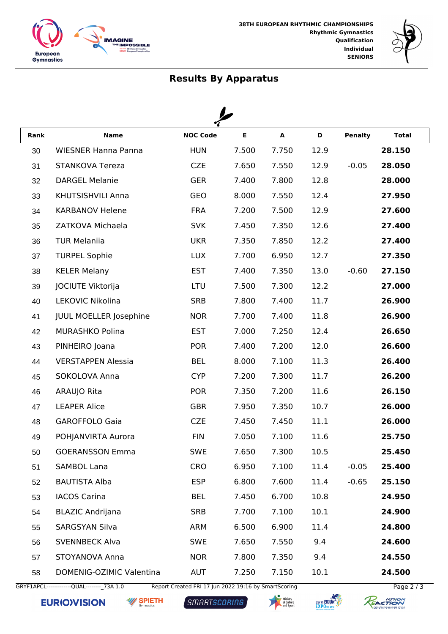



## **Results By Apparatus**

 $\overline{\phantom{a}}$ 

| Rank | <b>Name</b>                   | <b>NOC Code</b> | E     | A             | D    | <b>Penalty</b> | <b>Total</b> |  |  |
|------|-------------------------------|-----------------|-------|---------------|------|----------------|--------------|--|--|
| 30   | <b>WIESNER Hanna Panna</b>    | <b>HUN</b>      | 7.500 | 7.750         | 12.9 |                | 28.150       |  |  |
| 31   | <b>STANKOVA Tereza</b>        | <b>CZE</b>      | 7.650 | 7.550         | 12.9 | $-0.05$        | 28.050       |  |  |
| 32   | <b>DARGEL Melanie</b>         | <b>GER</b>      | 7.400 | 7.800<br>12.8 |      |                | 28.000       |  |  |
| 33   | KHUTSISHVILI Anna             | <b>GEO</b>      | 8.000 | 7.550         | 12.4 |                | 27.950       |  |  |
| 34   | <b>KARBANOV Helene</b>        | <b>FRA</b>      | 7.200 | 7.500         | 12.9 |                | 27.600       |  |  |
| 35   | ZATKOVA Michaela              | <b>SVK</b>      | 7.450 | 7.350         | 12.6 |                | 27.400       |  |  |
| 36   | <b>TUR Melaniia</b>           | <b>UKR</b>      | 7.350 | 7.850         | 12.2 |                | 27.400       |  |  |
| 37   | <b>TURPEL Sophie</b>          | <b>LUX</b>      | 7.700 | 6.950         | 12.7 |                | 27.350       |  |  |
| 38   | <b>KELER Melany</b>           | <b>EST</b>      | 7.400 | 7.350         | 13.0 | $-0.60$        | 27.150       |  |  |
| 39   | JOCIUTE Viktorija             | LTU             | 7.500 | 7.300         | 12.2 |                | 27.000       |  |  |
| 40   | LEKOVIC Nikolina              | <b>SRB</b>      | 7.800 | 7.400         | 11.7 |                | 26.900       |  |  |
| 41   | <b>JUUL MOELLER Josephine</b> | <b>NOR</b>      | 7.700 | 7.400         | 11.8 |                | 26.900       |  |  |
| 42   | MURASHKO Polina               | <b>EST</b>      | 7.000 | 7.250         | 12.4 |                | 26.650       |  |  |
| 43   | PINHEIRO Joana                | <b>POR</b>      | 7.400 | 7.200         | 12.0 |                | 26.600       |  |  |
| 44   | <b>VERSTAPPEN Alessia</b>     | <b>BEL</b>      | 8.000 | 7.100         | 11.3 |                | 26.400       |  |  |
| 45   | SOKOLOVA Anna                 | <b>CYP</b>      | 7.200 | 7.300         | 11.7 |                | 26.200       |  |  |
| 46   | ARAUJO Rita                   | <b>POR</b>      | 7.350 | 7.200         | 11.6 |                | 26.150       |  |  |
| 47   | <b>LEAPER Alice</b>           | <b>GBR</b>      | 7.950 | 7.350         | 10.7 |                | 26.000       |  |  |
| 48   | <b>GAROFFOLO Gaia</b>         | <b>CZE</b>      | 7.450 | 7.450         | 11.1 |                | 26.000       |  |  |
| 49   | POHJANVIRTA Aurora            | <b>FIN</b>      | 7.050 | 7.100         | 11.6 |                | 25.750       |  |  |
| 50   | <b>GOERANSSON Emma</b>        | <b>SWE</b>      | 7.650 | 7.300         | 10.5 |                | 25.450       |  |  |
| 51   | <b>SAMBOL Lana</b>            | <b>CRO</b>      | 6.950 | 7.100         | 11.4 | $-0.05$        | 25.400       |  |  |
| 52   | <b>BAUTISTA Alba</b>          | <b>ESP</b>      | 6.800 | 7.600         | 11.4 | $-0.65$        | 25.150       |  |  |
| 53   | <b>IACOS Carina</b>           | <b>BEL</b>      | 7.450 | 6.700         | 10.8 |                | 24.950       |  |  |
| 54   | <b>BLAZIC Andrijana</b>       | <b>SRB</b>      | 7.700 | 7.100         | 10.1 |                | 24.900       |  |  |
| 55   | <b>SARGSYAN Silva</b>         | ARM             | 6.500 | 6.900         | 11.4 |                | 24.800       |  |  |
| 56   | <b>SVENNBECK Alva</b>         | <b>SWE</b>      | 7.650 | 7.550         | 9.4  |                | 24.600       |  |  |
| 57   | STOYANOVA Anna                | <b>NOR</b>      | 7.800 | 7.350         | 9.4  |                | 24.550       |  |  |
| 58   | DOMENIG-OZIMIC Valentina      | <b>AUT</b>      | 7.250 | 7.150         | 10.1 |                | 24.500       |  |  |

GRYF1APCL-------------QUAL--------\_73A 1.0 Report Created FRI 17 Jun 2022 19:16 by SmartScoring Page 2 / 3

**EURIOVISION W** SPIETH

SMARTSCORING